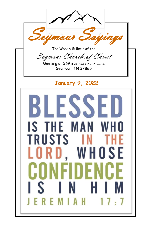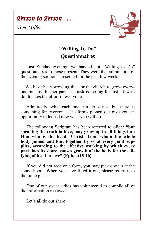*Person to Person . . .* 

*Tom Miller*



## **"Willing To Do" Questionnaires**

 Last Sunday evening, we handed out "Willing to Do" questionnaires to those present. They were the culmination of the evening sermons presented for the past few weeks.

 We have been stressing that for the church to grow everyone must do his/her part. The task is too big for just a few to do. It takes the effort of everyone.

 Admittedly, what each one can do varies, but there is something for everyone. The forms passed out give you an opportunity to let us know what you will do.

 The following Scripture has been referred to often: **"but speaking the truth in love, may grow up in all things into Him who is the head—Christ—from whom the whole body joined and knit together by what every joint supplies, according to the effective working by which every part does its share, causes growth of the body for the edifying of itself in love" (Eph. 4:15-16).**

If you did not receive a form, you may pick one up at the sound booth. When you have filled it out, please return it to the same place.

 One of our sweet ladies has volunteered to compile all of the information received.

Let's all do our share!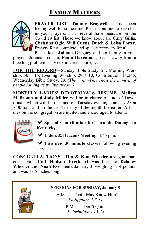# **FAMILY MATTERS**



**PRAYER LIST**—**Tammy Bragwell** has not been feeling well for some time. Please continue to keep her in your prayers. . . . Several have been/are on the Covid 19 list. Those we know about are **Cary Gillis, Christina Ogle, Will Curtis, Butch & Leisa Potter.**  Prayers for a complete and speedy recovery for all. . . . Please keep **Juliana Gregory** and her family in your

prayers. Juliana's cousin, **Paula Davenport**, passed away from a bleeding problem last week in Greensboro, NC.

**FOR THE RECORD**—Sunday Bible Study, 28; Morning Worship,  $50 + 15$ ; Evening Worship,  $29 + 10$ ; Contribution, \$4,345; Wednesday Bible Study, 29. *(The + numbers show the number of people joining us by live stream.)*

**MONTHLY LADIES' DEVOTIONALS RESUME**—**Melissa McBroom and Jody Miller** will be in charge of Ladies' Devotionals which will be resumed on Tuesday evening, January 25 at 7:00 p.m. and on the last Tuesday of the month thereafter. All ladies on the congregation are invited and encouraged to attend.



**Special Contribution for Tornado Damage in Kentucky**

**Elders & Deacons Meeting**, 4:45 p.m.

**Two new 30 minute classes** following evening services.

**CONGRATUALTIONS—Tim & Kim Wheeler are** grandparents again. **Colt Hudson Everheart** was born to **Delaney Wheeler and Noah Everheart** January 3, weighing 5.14 pounds and was 18.5 inches long.



#### **SERMONS FOR SUNDAY, January 9**

A.M.— "That I May Know Him" *Philippians 3:8-11*

> P.M.— "Don't Quit" *1 Corinthians 15:58*